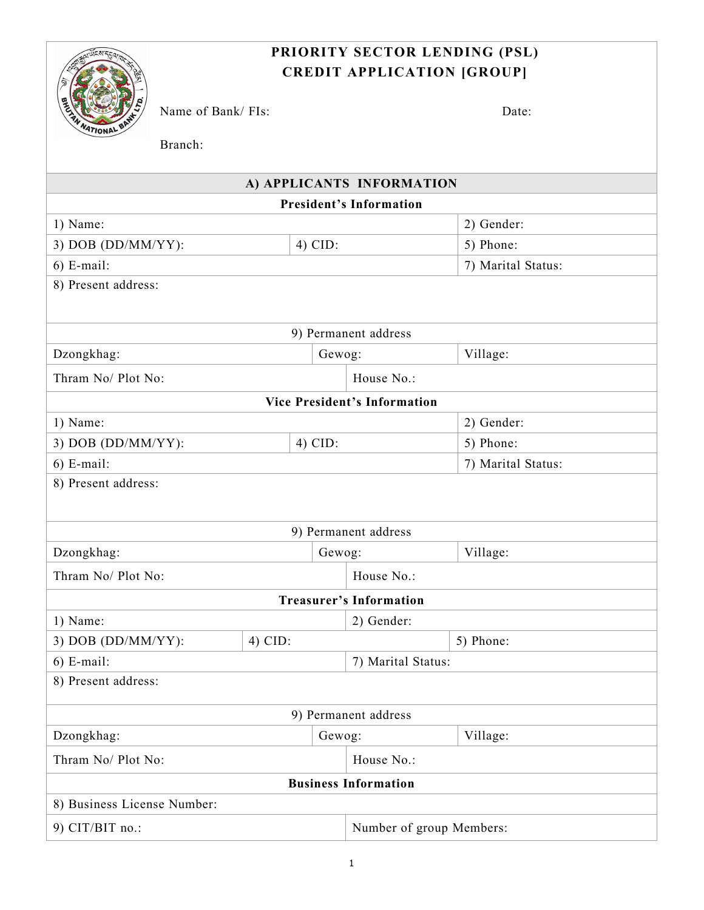# **PRIORITY SECTOR LENDING (PSL) CREDIT APPLICATION [GROUP]**



Name of Bank/ FIs: Date:

Branch: **A) APPLICANTS INFORMATION President's Information** 1) Name: 2) Gender: 3) DOB (DD/MM/YY):  $\vert$  4) CID:  $\vert$  5) Phone: 6) E-mail: 7) Marital Status: 8) Present address: 9) Permanent address Dzongkhag: Gewog: Village: Thram No/ Plot No: House No.: **Vice President's Information** 1) Name: 2) Gender: 3) DOB (DD/MM/YY):  $\vert$  4) CID:  $\vert$  5) Phone: 6) E-mail: 7) Marital Status: 8) Present address: 9) Permanent address Dzongkhag:  $\vert$  Gewog:  $\vert$  Village: Thram No/ Plot No:  $\qquad \qquad$  House No.: **Treasurer's Information** 1) Name: 2) Gender: 3) DOB (DD/MM/YY):  $\vert$  4) CID:  $\vert$  5) Phone: 6) E-mail: 7) Marital Status: 8) Present address: 9) Permanent address Dzongkhag: Gewog: Village: Thram No/ Plot No:  $\qquad \qquad$  House No.: **Business Information** 8) Business License Number: 9) CIT/BIT no.: Number of group Members: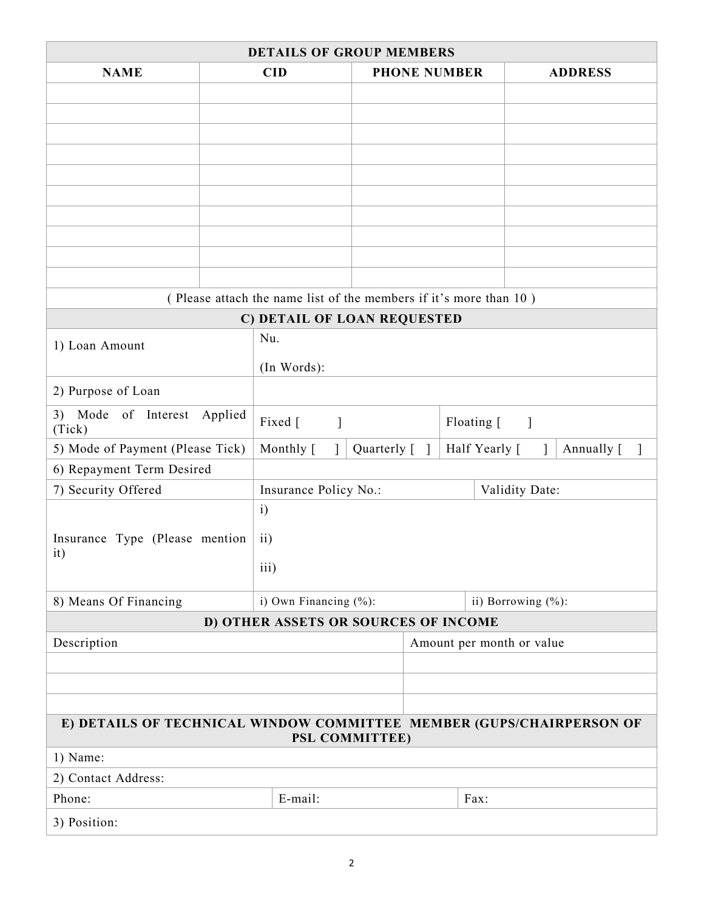| <b>PHONE NUMBER</b><br><b>NAME</b><br><b>CID</b><br><b>ADDRESS</b><br>(Please attach the name list of the members if it's more than 10)<br>C) DETAIL OF LOAN REQUESTED<br>Nu.<br>1) Loan Amount<br>(In Words):<br>2) Purpose of Loan<br>3) Mode of Interest Applied<br>Fixed [<br>Floating [<br>$\mathbf{I}$<br>$\overline{\phantom{a}}$<br>(Tick)<br>Half Yearly [<br>5) Mode of Payment (Please Tick)<br>Monthly [<br>$\mathbf{1}$<br>Quarterly [ ]<br>Annually [<br>6) Repayment Term Desired<br>Validity Date:<br>7) Security Offered<br>Insurance Policy No.:<br>$\mathbf{i}$<br>Insurance Type (Please mention<br>$\mathbf{ii}$<br>it)<br>iii)<br>8) Means Of Financing<br>i) Own Financing (%):<br>ii) Borrowing (%):<br>D) OTHER ASSETS OR SOURCES OF INCOME<br>Description<br>Amount per month or value<br>E) DETAILS OF TECHNICAL WINDOW COMMITTEE MEMBER (GUPS/CHAIRPERSON OF<br>PSL COMMITTEE)<br>1) Name:<br>2) Contact Address:<br>Phone:<br>E-mail:<br>Fax:<br>3) Position: |  | <b>DETAILS OF GROUP MEMBERS</b> |  |  |  |  |  |  |
|--------------------------------------------------------------------------------------------------------------------------------------------------------------------------------------------------------------------------------------------------------------------------------------------------------------------------------------------------------------------------------------------------------------------------------------------------------------------------------------------------------------------------------------------------------------------------------------------------------------------------------------------------------------------------------------------------------------------------------------------------------------------------------------------------------------------------------------------------------------------------------------------------------------------------------------------------------------------------------------------|--|---------------------------------|--|--|--|--|--|--|
|                                                                                                                                                                                                                                                                                                                                                                                                                                                                                                                                                                                                                                                                                                                                                                                                                                                                                                                                                                                            |  |                                 |  |  |  |  |  |  |
|                                                                                                                                                                                                                                                                                                                                                                                                                                                                                                                                                                                                                                                                                                                                                                                                                                                                                                                                                                                            |  |                                 |  |  |  |  |  |  |
|                                                                                                                                                                                                                                                                                                                                                                                                                                                                                                                                                                                                                                                                                                                                                                                                                                                                                                                                                                                            |  |                                 |  |  |  |  |  |  |
|                                                                                                                                                                                                                                                                                                                                                                                                                                                                                                                                                                                                                                                                                                                                                                                                                                                                                                                                                                                            |  |                                 |  |  |  |  |  |  |
|                                                                                                                                                                                                                                                                                                                                                                                                                                                                                                                                                                                                                                                                                                                                                                                                                                                                                                                                                                                            |  |                                 |  |  |  |  |  |  |
|                                                                                                                                                                                                                                                                                                                                                                                                                                                                                                                                                                                                                                                                                                                                                                                                                                                                                                                                                                                            |  |                                 |  |  |  |  |  |  |
|                                                                                                                                                                                                                                                                                                                                                                                                                                                                                                                                                                                                                                                                                                                                                                                                                                                                                                                                                                                            |  |                                 |  |  |  |  |  |  |
|                                                                                                                                                                                                                                                                                                                                                                                                                                                                                                                                                                                                                                                                                                                                                                                                                                                                                                                                                                                            |  |                                 |  |  |  |  |  |  |
|                                                                                                                                                                                                                                                                                                                                                                                                                                                                                                                                                                                                                                                                                                                                                                                                                                                                                                                                                                                            |  |                                 |  |  |  |  |  |  |
|                                                                                                                                                                                                                                                                                                                                                                                                                                                                                                                                                                                                                                                                                                                                                                                                                                                                                                                                                                                            |  |                                 |  |  |  |  |  |  |
|                                                                                                                                                                                                                                                                                                                                                                                                                                                                                                                                                                                                                                                                                                                                                                                                                                                                                                                                                                                            |  |                                 |  |  |  |  |  |  |
|                                                                                                                                                                                                                                                                                                                                                                                                                                                                                                                                                                                                                                                                                                                                                                                                                                                                                                                                                                                            |  |                                 |  |  |  |  |  |  |
|                                                                                                                                                                                                                                                                                                                                                                                                                                                                                                                                                                                                                                                                                                                                                                                                                                                                                                                                                                                            |  |                                 |  |  |  |  |  |  |
|                                                                                                                                                                                                                                                                                                                                                                                                                                                                                                                                                                                                                                                                                                                                                                                                                                                                                                                                                                                            |  |                                 |  |  |  |  |  |  |
|                                                                                                                                                                                                                                                                                                                                                                                                                                                                                                                                                                                                                                                                                                                                                                                                                                                                                                                                                                                            |  |                                 |  |  |  |  |  |  |
|                                                                                                                                                                                                                                                                                                                                                                                                                                                                                                                                                                                                                                                                                                                                                                                                                                                                                                                                                                                            |  |                                 |  |  |  |  |  |  |
|                                                                                                                                                                                                                                                                                                                                                                                                                                                                                                                                                                                                                                                                                                                                                                                                                                                                                                                                                                                            |  |                                 |  |  |  |  |  |  |
|                                                                                                                                                                                                                                                                                                                                                                                                                                                                                                                                                                                                                                                                                                                                                                                                                                                                                                                                                                                            |  |                                 |  |  |  |  |  |  |
|                                                                                                                                                                                                                                                                                                                                                                                                                                                                                                                                                                                                                                                                                                                                                                                                                                                                                                                                                                                            |  |                                 |  |  |  |  |  |  |
|                                                                                                                                                                                                                                                                                                                                                                                                                                                                                                                                                                                                                                                                                                                                                                                                                                                                                                                                                                                            |  |                                 |  |  |  |  |  |  |
|                                                                                                                                                                                                                                                                                                                                                                                                                                                                                                                                                                                                                                                                                                                                                                                                                                                                                                                                                                                            |  |                                 |  |  |  |  |  |  |
|                                                                                                                                                                                                                                                                                                                                                                                                                                                                                                                                                                                                                                                                                                                                                                                                                                                                                                                                                                                            |  |                                 |  |  |  |  |  |  |
|                                                                                                                                                                                                                                                                                                                                                                                                                                                                                                                                                                                                                                                                                                                                                                                                                                                                                                                                                                                            |  |                                 |  |  |  |  |  |  |
|                                                                                                                                                                                                                                                                                                                                                                                                                                                                                                                                                                                                                                                                                                                                                                                                                                                                                                                                                                                            |  |                                 |  |  |  |  |  |  |
|                                                                                                                                                                                                                                                                                                                                                                                                                                                                                                                                                                                                                                                                                                                                                                                                                                                                                                                                                                                            |  |                                 |  |  |  |  |  |  |
|                                                                                                                                                                                                                                                                                                                                                                                                                                                                                                                                                                                                                                                                                                                                                                                                                                                                                                                                                                                            |  |                                 |  |  |  |  |  |  |
|                                                                                                                                                                                                                                                                                                                                                                                                                                                                                                                                                                                                                                                                                                                                                                                                                                                                                                                                                                                            |  |                                 |  |  |  |  |  |  |
|                                                                                                                                                                                                                                                                                                                                                                                                                                                                                                                                                                                                                                                                                                                                                                                                                                                                                                                                                                                            |  |                                 |  |  |  |  |  |  |
|                                                                                                                                                                                                                                                                                                                                                                                                                                                                                                                                                                                                                                                                                                                                                                                                                                                                                                                                                                                            |  |                                 |  |  |  |  |  |  |
|                                                                                                                                                                                                                                                                                                                                                                                                                                                                                                                                                                                                                                                                                                                                                                                                                                                                                                                                                                                            |  |                                 |  |  |  |  |  |  |
|                                                                                                                                                                                                                                                                                                                                                                                                                                                                                                                                                                                                                                                                                                                                                                                                                                                                                                                                                                                            |  |                                 |  |  |  |  |  |  |
|                                                                                                                                                                                                                                                                                                                                                                                                                                                                                                                                                                                                                                                                                                                                                                                                                                                                                                                                                                                            |  |                                 |  |  |  |  |  |  |
|                                                                                                                                                                                                                                                                                                                                                                                                                                                                                                                                                                                                                                                                                                                                                                                                                                                                                                                                                                                            |  |                                 |  |  |  |  |  |  |
|                                                                                                                                                                                                                                                                                                                                                                                                                                                                                                                                                                                                                                                                                                                                                                                                                                                                                                                                                                                            |  |                                 |  |  |  |  |  |  |
|                                                                                                                                                                                                                                                                                                                                                                                                                                                                                                                                                                                                                                                                                                                                                                                                                                                                                                                                                                                            |  |                                 |  |  |  |  |  |  |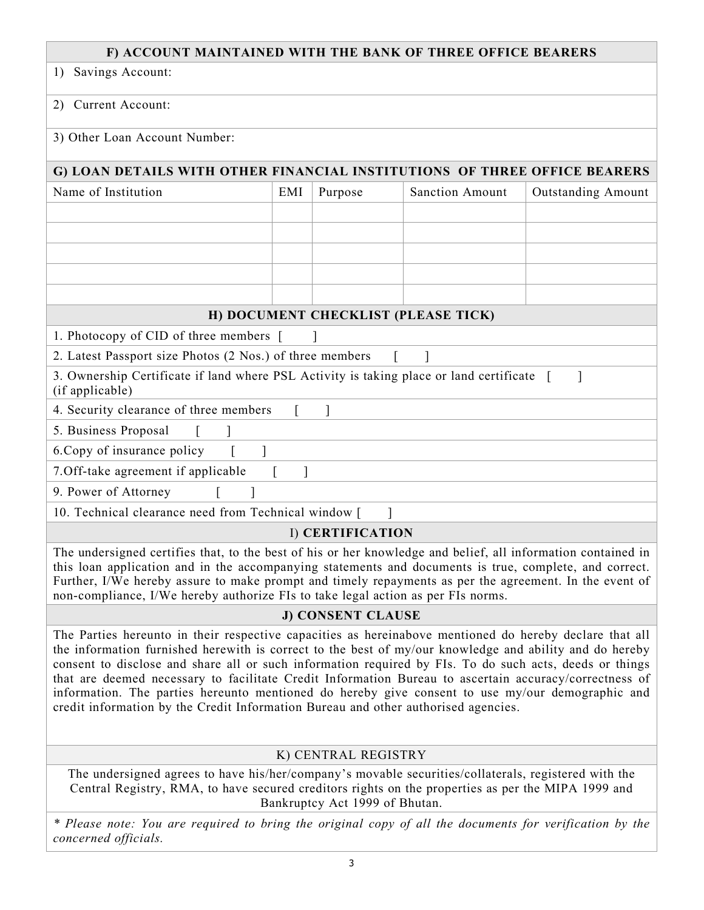### **F) ACCOUNT MAINTAINED WITH THE BANK OF THREE OFFICE BEARERS**

1) Savings Account:

#### 2) Current Account:

### 3) Other Loan Account Number:

# **G) LOAN DETAILS WITH OTHER FINANCIAL INSTITUTIONS OF THREE OFFICE BEARERS**

| Name of Institution                                                                                          | EMI | Purpose | <b>Sanction Amount</b>              | <b>Outstanding Amount</b> |
|--------------------------------------------------------------------------------------------------------------|-----|---------|-------------------------------------|---------------------------|
|                                                                                                              |     |         |                                     |                           |
|                                                                                                              |     |         |                                     |                           |
|                                                                                                              |     |         |                                     |                           |
|                                                                                                              |     |         |                                     |                           |
|                                                                                                              |     |         |                                     |                           |
|                                                                                                              |     |         | H) DOCUMENT CHECKLIST (PLEASE TICK) |                           |
| 1. Photocopy of CID of three members [                                                                       |     |         |                                     |                           |
| 2. Latest Passport size Photos (2 Nos.) of three members                                                     |     |         |                                     |                           |
| 3. Ownership Certificate if land where PSL Activity is taking place or land certificate [<br>(if applicable) |     |         |                                     |                           |
| 4. Security clearance of three members                                                                       |     |         |                                     |                           |
| 5. Business Proposal                                                                                         |     |         |                                     |                           |
| 6. Copy of insurance policy                                                                                  |     |         |                                     |                           |
| 7. Off-take agreement if applicable                                                                          |     |         |                                     |                           |
| 9. Power of Attorney                                                                                         |     |         |                                     |                           |
| $10.77 \cdot 1.1$ $10.77 \cdot 1.1$ $11.7 \cdot 1.1$                                                         |     |         |                                     |                           |

10. Technical clearance need from Technical window [ ]

## I) **CERTIFICATION**

The undersigned certifies that, to the best of his or her knowledge and belief, all information contained in this loan application and in the accompanying statements and documents is true, complete, and correct. Further, I/We hereby assure to make prompt and timely repayments as per the agreement. In the event of non-compliance, I/We hereby authorize FIs to take legal action as per FIs norms.

### **J) CONSENT CLAUSE**

The Parties hereunto in their respective capacities as hereinabove mentioned do hereby declare that all the information furnished herewith is correct to the best of my/our knowledge and ability and do hereby consent to disclose and share all or such information required by FIs. To do such acts, deeds or things that are deemed necessary to facilitate Credit Information Bureau to ascertain accuracy/correctness of information. The parties hereunto mentioned do hereby give consent to use my/our demographic and credit information by the Credit Information Bureau and other authorised agencies.

### K) CENTRAL REGISTRY

The undersigned agrees to have his/her/company's movable securities/collaterals, registered with the Central Registry, RMA, to have secured creditors rights on the properties as per the MIPA 1999 and Bankruptcy Act 1999 of Bhutan.

\* Please note: You are required to bring the original copy of all the documents for verification by the *concerned officials.*